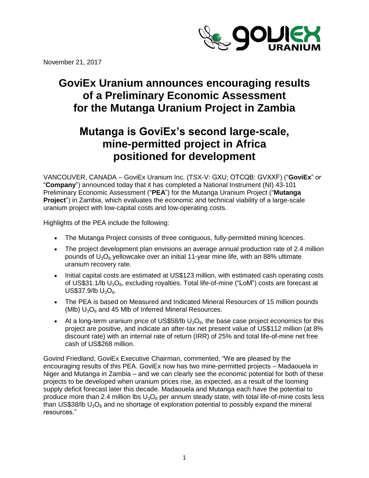

November 21, 2017

# **GoviEx Uranium announces encouraging results of a Preliminary Economic Assessment for the Mutanga Uranium Project in Zambia**

# **Mutanga is GoviEx's second large-scale, mine-permitted project in Africa positioned for development**

VANCOUVER, CANADA – GoviEx Uranium Inc. (TSX-V: GXU; OTCQB: GVXXF) ("**GoviEx**" or "**Company**") announced today that it has completed a National Instrument (NI) 43-101 Preliminary Economic Assessment ("**PEA**") for the Mutanga Uranium Project ("**Mutanga Project**") in Zambia, which evaluates the economic and technical viability of a large-scale uranium project with low-capital costs and low-operating costs.

Highlights of the PEA include the following:

- The Mutanga Project consists of three contiguous, fully-permitted mining licences.
- The project development plan envisions an average annual production rate of 2.4 million pounds of  $U_3O_8$  yellowcake over an initial 11-year mine life, with an 88% ultimate uranium recovery rate.
- Initial capital costs are estimated at US\$123 million, with estimated cash operating costs of US\$31.1/lb  $U_3O_8$ , excluding royalties. Total life-of-mine ("LoM") costs are forecast at  $US$37.9/lb$   $U_3O_8$ .
- The PEA is based on Measured and Indicated Mineral Resources of 15 million pounds (MIb)  $U_3O_8$  and 45 MIb of Inferred Mineral Resources.
- At a long-term uranium price of US\$58/lb  $U_3O_8$ , the base case project economics for this project are positive, and indicate an after-tax net present value of US\$112 million (at 8% discount rate) with an internal rate of return (IRR) of 25% and total life-of-mine net free cash of US\$268 million.

Govind Friedland, GoviEx Executive Chairman, commented, "We are pleased by the encouraging results of this PEA. GoviEx now has two mine-permitted projects – Madaouela in Niger and Mutanga in Zambia – and we can clearly see the economic potential for both of these projects to be developed when uranium prices rise, as expected, as a result of the looming supply deficit forecast later this decade. Madaouela and Mutanga each have the potential to produce more than 2.4 million lbs  $U_3O_8$  per annum steady state, with total life-of-mine costs less than US\$38/lb  $U_3O_8$  and no shortage of exploration potential to possibly expand the mineral resources."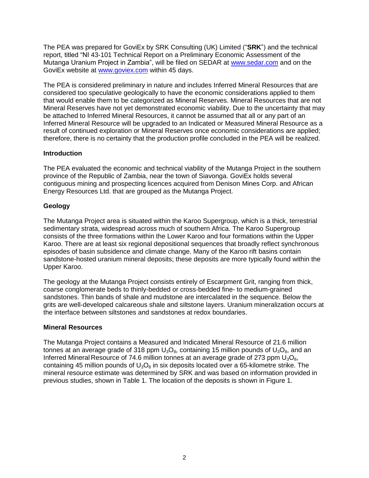The PEA was prepared for GoviEx by SRK Consulting (UK) Limited ("**SRK**") and the technical report, titled "NI 43-101 Technical Report on a Preliminary Economic Assessment of the Mutanga Uranium Project in Zambia", will be filed on SEDAR at [www.sedar.com](http://www.sedar.com/) and on the GoviEx website at www.goviex.com within 45 days.

The PEA is considered preliminary in nature and includes Inferred Mineral Resources that are considered too speculative geologically to have the economic considerations applied to them that would enable them to be categorized as Mineral Reserves. Mineral Resources that are not Mineral Reserves have not yet demonstrated economic viability. Due to the uncertainty that may be attached to Inferred Mineral Resources, it cannot be assumed that all or any part of an Inferred Mineral Resource will be upgraded to an Indicated or Measured Mineral Resource as a result of continued exploration or Mineral Reserves once economic considerations are applied; therefore, there is no certainty that the production profile concluded in the PEA will be realized.

#### **Introduction**

The PEA evaluated the economic and technical viability of the Mutanga Project in the southern province of the Republic of Zambia, near the town of Siavonga. GoviEx holds several contiguous mining and prospecting licences acquired from Denison Mines Corp. and African Energy Resources Ltd. that are grouped as the Mutanga Project.

## **Geology**

The Mutanga Project area is situated within the Karoo Supergroup, which is a thick, terrestrial sedimentary strata, widespread across much of southern Africa. The Karoo Supergroup consists of the three formations within the Lower Karoo and four formations within the Upper Karoo. There are at least six regional depositional sequences that broadly reflect synchronous episodes of basin subsidence and climate change. Many of the Karoo rift basins contain sandstone-hosted uranium mineral deposits; these deposits are more typically found within the Upper Karoo.

The geology at the Mutanga Project consists entirely of Escarpment Grit, ranging from thick, coarse conglomerate beds to thinly-bedded or cross‐bedded fine- to medium-grained sandstones. Thin bands of shale and mudstone are intercalated in the sequence. Below the grits are well-developed calcareous shale and siltstone layers. Uranium mineralization occurs at the interface between siltstones and sandstones at redox boundaries.

## **Mineral Resources**

The Mutanga Project contains a Measured and Indicated Mineral Resource of 21.6 million tonnes at an average grade of 318 ppm  $U_3O_8$ , containing 15 million pounds of  $U_3O_8$ , and an Inferred Mineral Resource of 74.6 million tonnes at an average grade of 273 ppm  $U_3O_8$ , containing 45 million pounds of  $U_3O_8$  in six deposits located over a 65-kilometre strike. The mineral resource estimate was determined by SRK and was based on information provided in previous studies, shown in Table 1. The location of the deposits is shown in Figure 1.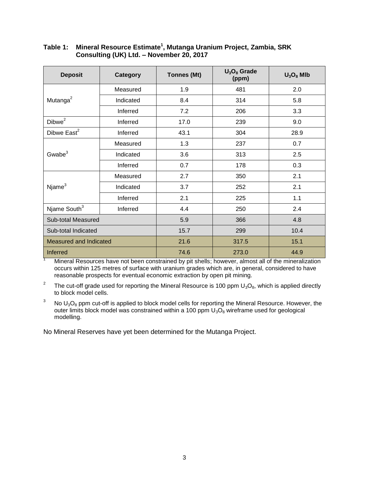| <b>Deposit</b>           | Category  | <b>Tonnes (Mt)</b> | $U_3O_8$ Grade<br>(ppm) | $U_3O_8$ Mlb |
|--------------------------|-----------|--------------------|-------------------------|--------------|
|                          | Measured  | 1.9                | 481                     | 2.0          |
| Mutanga <sup>2</sup>     | Indicated | 8.4                | 314                     | 5.8          |
|                          | Inferred  | 7.2                | 206                     | 3.3          |
| Dibwe <sup>2</sup>       | Inferred  | 17.0               | 239                     | 9.0          |
| Dibwe East <sup>2</sup>  | Inferred  | 43.1               | 304                     | 28.9         |
| Gwabe $3$                | Measured  | 1.3                | 237                     | 0.7          |
|                          | Indicated | 3.6                | 313                     | 2.5          |
|                          | Inferred  | 0.7                | 178                     | 0.3          |
|                          | Measured  | 2.7                | 350                     | 2.1          |
| Njame <sup>3</sup>       | Indicated | 3.7                | 252                     | 2.1          |
|                          | Inferred  | 2.1                | 225                     | 1.1          |
| Njame South <sup>3</sup> | Inferred  | 4.4                | 250                     | 2.4          |
| Sub-total Measured       |           | 5.9                | 366                     | 4.8          |
| Sub-total Indicated      |           | 15.7               | 299                     | 10.4         |
| Measured and Indicated   |           | 21.6               | 317.5                   | 15.1         |
| Inferred                 |           | 74.6               | 273.0                   | 44.9         |

#### **Table 1: Mineral Resource Estimate<sup>1</sup> , Mutanga Uranium Project, Zambia, SRK Consulting (UK) Ltd. – November 20, 2017**

Mineral Resources have not been constrained by pit shells; however, almost all of the mineralization occurs within 125 metres of surface with uranium grades which are, in general, considered to have reasonable prospects for eventual economic extraction by open pit mining.

2 The cut-off grade used for reporting the Mineral Resource is 100 ppm  $U_3O_8$ , which is applied directly to block model cells.

<sup>3</sup> No  $U_3O_8$  ppm cut-off is applied to block model cells for reporting the Mineral Resource. However, the outer limits block model was constrained within a 100 ppm  $U_3O_8$  wireframe used for geological modelling.

No Mineral Reserves have yet been determined for the Mutanga Project.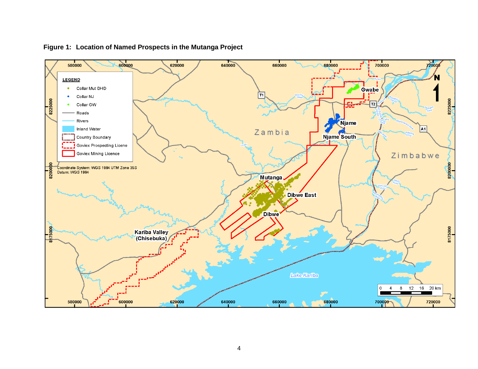

**Figure 1: Location of Named Prospects in the Mutanga Project**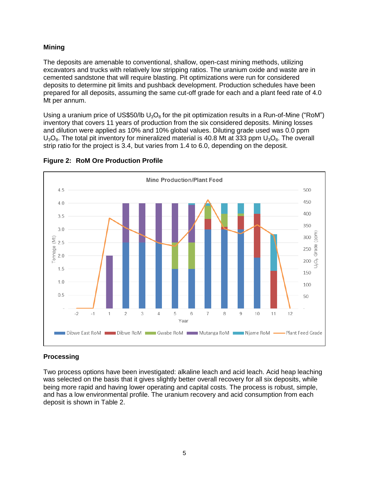## **Mining**

The deposits are amenable to conventional, shallow, open-cast mining methods, utilizing excavators and trucks with relatively low stripping ratios. The uranium oxide and waste are in cemented sandstone that will require blasting. Pit optimizations were run for considered deposits to determine pit limits and pushback development. Production schedules have been prepared for all deposits, assuming the same cut-off grade for each and a plant feed rate of 4.0 Mt per annum.

Using a uranium price of US\$50/lb  $U_3O_8$  for the pit optimization results in a Run-of-Mine ("RoM") inventory that covers 11 years of production from the six considered deposits. Mining losses and dilution were applied as 10% and 10% global values. Diluting grade used was 0.0 ppm  $U_3O_8$ . The total pit inventory for mineralized material is 40.8 Mt at 333 ppm  $U_3O_8$ . The overall strip ratio for the project is 3.4, but varies from 1.4 to 6.0, depending on the deposit.



#### **Figure 2: RoM Ore Production Profile**

## **Processing**

Two process options have been investigated: alkaline leach and acid leach. Acid heap leaching was selected on the basis that it gives slightly better overall recovery for all six deposits, while being more rapid and having lower operating and capital costs. The process is robust, simple, and has a low environmental profile. The uranium recovery and acid consumption from each deposit is shown in Table 2.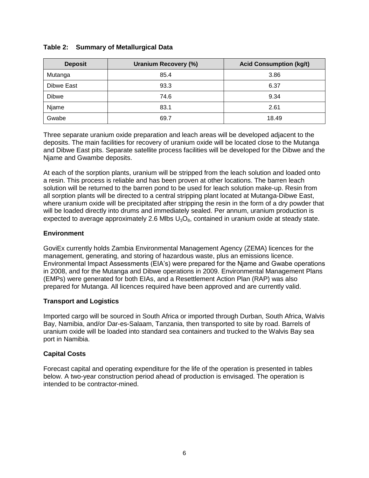## **Table 2: Summary of Metallurgical Data**

| <b>Deposit</b> | <b>Uranium Recovery (%)</b> | <b>Acid Consumption (kg/t)</b> |
|----------------|-----------------------------|--------------------------------|
| Mutanga        | 85.4                        | 3.86                           |
| Dibwe East     | 93.3                        | 6.37                           |
| <b>Dibwe</b>   | 74.6                        | 9.34                           |
| Njame          | 83.1                        | 2.61                           |
| Gwabe          | 69.7                        | 18.49                          |

Three separate uranium oxide preparation and leach areas will be developed adjacent to the deposits. The main facilities for recovery of uranium oxide will be located close to the Mutanga and Dibwe East pits. Separate satellite process facilities will be developed for the Dibwe and the Njame and Gwambe deposits.

At each of the sorption plants, uranium will be stripped from the leach solution and loaded onto a resin. This process is reliable and has been proven at other locations. The barren leach solution will be returned to the barren pond to be used for leach solution make-up. Resin from all sorption plants will be directed to a central stripping plant located at Mutanga-Dibwe East, where uranium oxide will be precipitated after stripping the resin in the form of a dry powder that will be loaded directly into drums and immediately sealed. Per annum, uranium production is expected to average approximately 2.6 Mlbs  $U_3O_8$ , contained in uranium oxide at steady state.

#### **Environment**

GoviEx currently holds Zambia Environmental Management Agency (ZEMA) licences for the management, generating, and storing of hazardous waste, plus an emissions licence. Environmental Impact Assessments (EIA's) were prepared for the Njame and Gwabe operations in 2008, and for the Mutanga and Dibwe operations in 2009. Environmental Management Plans (EMPs) were generated for both EIAs, and a Resettlement Action Plan (RAP) was also prepared for Mutanga. All licences required have been approved and are currently valid.

#### **Transport and Logistics**

Imported cargo will be sourced in South Africa or imported through Durban, South Africa, Walvis Bay, Namibia, and/or Dar-es-Salaam, Tanzania, then transported to site by road. Barrels of uranium oxide will be loaded into standard sea containers and trucked to the Walvis Bay sea port in Namibia.

## **Capital Costs**

Forecast capital and operating expenditure for the life of the operation is presented in tables below. A two-year construction period ahead of production is envisaged. The operation is intended to be contractor-mined.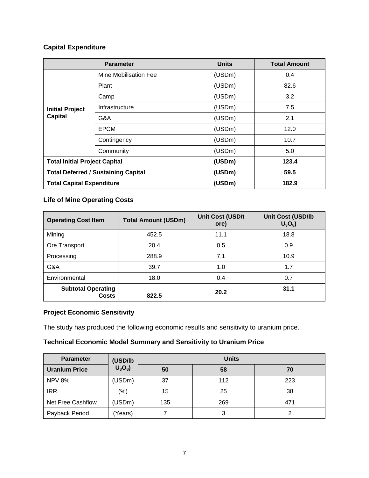## **Capital Expenditure**

| <b>Parameter</b>                           |                       | <b>Units</b> | <b>Total Amount</b> |
|--------------------------------------------|-----------------------|--------------|---------------------|
| <b>Initial Project</b><br><b>Capital</b>   | Mine Mobilisation Fee | (USDm)       | 0.4                 |
|                                            | Plant                 | (USDm)       | 82.6                |
|                                            | Camp                  | (USDm)       | 3.2                 |
|                                            | Infrastructure        | (USDm)       | 7.5                 |
|                                            | G&A                   | (USDm)       | 2.1                 |
|                                            | <b>EPCM</b>           | (USDm)       | 12.0                |
|                                            | Contingency           | (USDm)       | 10.7                |
|                                            | Community             | (USDm)       | 5.0                 |
| <b>Total Initial Project Capital</b>       |                       | (USDm)       | 123.4               |
| <b>Total Deferred / Sustaining Capital</b> |                       | (USDm)       | 59.5                |
| <b>Total Capital Expenditure</b>           |                       | (USDm)       | 182.9               |

## **Life of Mine Operating Costs**

| <b>Operating Cost Item</b>         | <b>Total Amount (USDm)</b> | <b>Unit Cost (USD/t</b><br>ore) | <b>Unit Cost (USD/lb</b><br>$U_3O_8$ |
|------------------------------------|----------------------------|---------------------------------|--------------------------------------|
| Mining                             | 452.5                      | 11.1                            | 18.8                                 |
| Ore Transport                      | 20.4                       | 0.5                             | 0.9                                  |
| Processing                         | 288.9                      | 7.1                             | 10.9                                 |
| G&A                                | 39.7                       | 1.0                             | 1.7                                  |
| Environmental                      | 18.0                       | 0.4                             | 0.7                                  |
| <b>Subtotal Operating</b><br>Costs | 822.5                      | 20.2                            | 31.1                                 |

## **Project Economic Sensitivity**

The study has produced the following economic results and sensitivity to uranium price.

## **Technical Economic Model Summary and Sensitivity to Uranium Price**

| <b>Parameter</b>     | (USD/lb<br>$U_3O_8$ | <b>Units</b> |     |     |
|----------------------|---------------------|--------------|-----|-----|
| <b>Uranium Price</b> |                     | 50           | 58  | 70  |
| <b>NPV 8%</b>        | (USDm)              | 37           | 112 | 223 |
| <b>IRR</b>           | $(\% )$             | 15           | 25  | 38  |
| Net Free Cashflow    | (USDm)              | 135          | 269 | 471 |
| Payback Period       | (Years)             |              | 3   |     |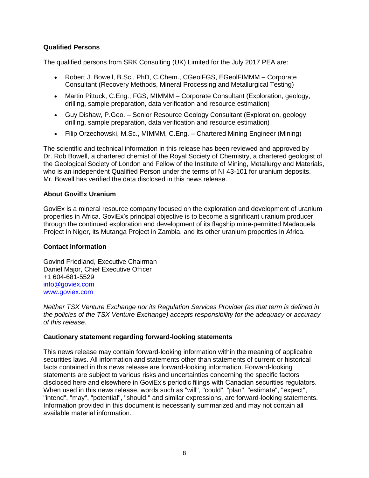#### **Qualified Persons**

The qualified persons from SRK Consulting (UK) Limited for the July 2017 PEA are:

- Robert J. Bowell, B.Sc., PhD, C.Chem., CGeolFGS, EGeolFIMMM Corporate Consultant (Recovery Methods, Mineral Processing and Metallurgical Testing)
- Martin Pittuck, C.Eng., FGS, MIMMM Corporate Consultant (Exploration, geology, drilling, sample preparation, data verification and resource estimation)
- Guy Dishaw, P.Geo. Senior Resource Geology Consultant (Exploration, geology, drilling, sample preparation, data verification and resource estimation)
- Filip Orzechowski, M.Sc., MIMMM, C.Eng. Chartered Mining Engineer (Mining)

The scientific and technical information in this release has been reviewed and approved by Dr. Rob Bowell, a chartered chemist of the Royal Society of Chemistry, a chartered geologist of the Geological Society of London and Fellow of the Institute of Mining, Metallurgy and Materials, who is an independent Qualified Person under the terms of NI 43-101 for uranium deposits. Mr. Bowell has verified the data disclosed in this news release.

#### **About GoviEx Uranium**

GoviEx is a mineral resource company focused on the exploration and development of uranium properties in Africa. GoviEx's principal objective is to become a significant uranium producer through the continued exploration and development of its flagship mine-permitted Madaouela Project in Niger, its Mutanga Project in Zambia, and its other uranium properties in Africa.

#### **Contact information**

Govind Friedland, Executive Chairman Daniel Major, Chief Executive Officer +1 604-681-5529 [info@goviex.com](mailto:info@goviex.com) www.goviex.com

*Neither TSX Venture Exchange nor its Regulation Services Provider (as that term is defined in the policies of the TSX Venture Exchange) accepts responsibility for the adequacy or accuracy of this release.* 

#### **Cautionary statement regarding forward-looking statements**

This news release may contain forward-looking information within the meaning of applicable securities laws. All information and statements other than statements of current or historical facts contained in this news release are forward-looking information. Forward-looking statements are subject to various risks and uncertainties concerning the specific factors disclosed here and elsewhere in GoviEx's periodic filings with Canadian securities regulators. When used in this news release, words such as "will", "could", "plan", "estimate", "expect", "intend", "may", "potential", "should," and similar expressions, are forward-looking statements. Information provided in this document is necessarily summarized and may not contain all available material information.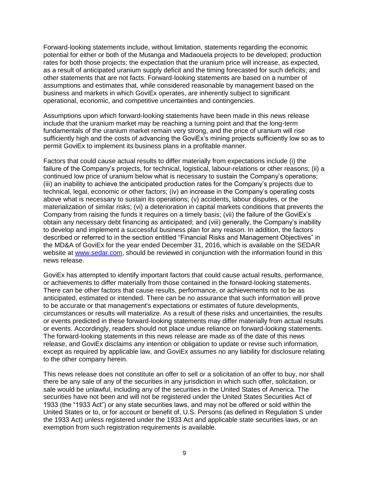Forward-looking statements include, without limitation, statements regarding the economic potential for either or both of the Mutanga and Madaouela projects to be developed; production rates for both those projects; the expectation that the uranium price will increase, as expected, as a result of anticipated uranium supply deficit and the timing forecasted for such deficits; and other statements that are not facts. Forward-looking statements are based on a number of assumptions and estimates that, while considered reasonable by management based on the business and markets in which GoviEx operates, are inherently subject to significant operational, economic, and competitive uncertainties and contingencies.

Assumptions upon which forward-looking statements have been made in this news release include that the uranium market may be reaching a turning point and that the long-term fundamentals of the uranium market remain very strong, and the price of uranium will rise sufficiently high and the costs of advancing the GoviEx's mining projects sufficiently low so as to permit GoviEx to implement its business plans in a profitable manner.

Factors that could cause actual results to differ materially from expectations include (i) the failure of the Company's projects, for technical, logistical, labour-relations or other reasons; (ii) a continued low price of uranium below what is necessary to sustain the Company's operations; (iii) an inability to achieve the anticipated production rates for the Company's projects due to technical, legal, economic or other factors; (iv) an increase in the Company's operating costs above what is necessary to sustain its operations; (v) accidents, labour disputes, or the materialization of similar risks; (vi) a deterioration in capital markets conditions that prevents the Company from raising the funds it requires on a timely basis; (vii) the failure of the GoviEx's obtain any necessary debt financing as anticipated; and (viii) generally, the Company's inability to develop and implement a successful business plan for any reason. In addition, the factors described or referred to in the section entitled "Financial Risks and Management Objectives" in the MD&A of GoviEx for the year ended December 31, 2016, which is available on the SEDAR website at [www.sedar.com,](http://www.sedar.com/) should be reviewed in conjunction with the information found in this news release.

GoviEx has attempted to identify important factors that could cause actual results, performance, or achievements to differ materially from those contained in the forward-looking statements. There can be other factors that cause results, performance, or achievements not to be as anticipated, estimated or intended. There can be no assurance that such information will prove to be accurate or that management's expectations or estimates of future developments, circumstances or results will materialize. As a result of these risks and uncertainties, the results or events predicted in these forward-looking statements may differ materially from actual results or events. Accordingly, readers should not place undue reliance on forward-looking statements. The forward-looking statements in this news release are made as of the date of this news release, and GoviEx disclaims any intention or obligation to update or revise such information, except as required by applicable law, and GoviEx assumes no any liability for disclosure relating to the other company herein.

This news release does not constitute an offer to sell or a solicitation of an offer to buy, nor shall there be any sale of any of the securities in any jurisdiction in which such offer, solicitation, or sale would be unlawful, including any of the securities in the United States of America. The securities have not been and will not be registered under the United States Securities Act of 1933 (the "1933 Act") or any state securities laws, and may not be offered or sold within the United States or to, or for account or benefit of, U.S. Persons (as defined in Regulation S under the 1933 Act) unless registered under the 1933 Act and applicable state securities laws, or an exemption from such registration requirements is available.